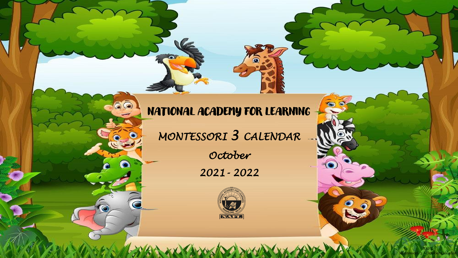## NATIONAL ACADEMY FOR LEARNING

 $\epsilon$ 

60

 $\overline{\mathbf{C}}$ 

*MONTESSORI 3 CALENDAR* 

*October 2021- 2022*



NAFL Montessori 3 – October Calendar

 $\bullet$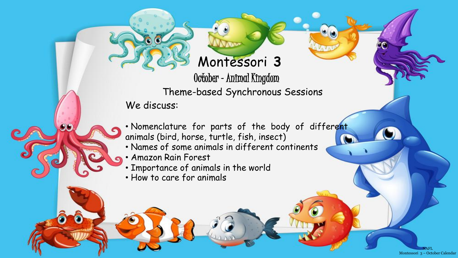## Montessori **3**

October –Animal Kingdom Theme-based Synchronous Sessions

We discuss:

• Nomenclature for parts of the body of different animals (bird, horse, turtle, fish, insect)

> NAFL Montessori 3 – October Calendar

- Names of some animals in different continents
- Amazon Rain Forest
- Importance of animals in the world
- How to care for animals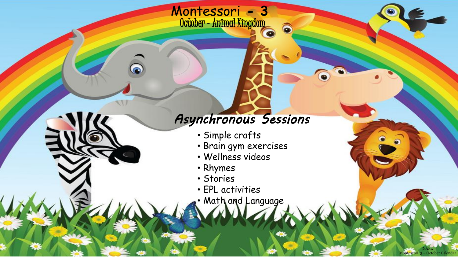## *Asynchronous Sessions*

6

• Simple crafts

Montessori **- 3** 

October –Animal Kingdom

- Brain gym exercises
- Wellness videos
- Rhymes
- Stories
- EPL activities
- Math and Language

NAFL Montessori 3 – October Calendar

 $\bullet$ 

 $\bullet$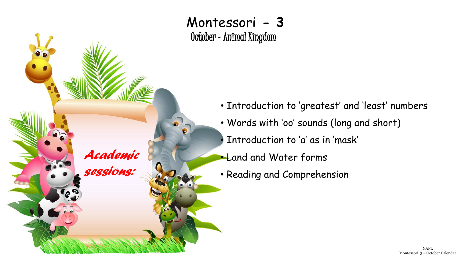

Montessori **- 3**  October –Animal Kingdom

- Introduction to 'greatest' and 'least' numbers
- Words with 'oo' sounds (long and short)
	- Introduction to 'a' as in 'mask'
- Land and Water forms
- Reading and Comprehension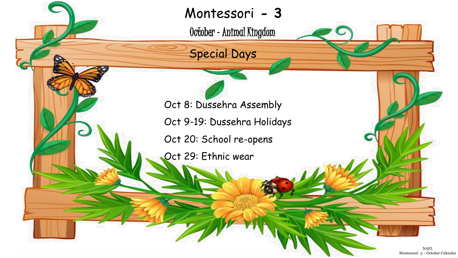Montessori **- 3** 

October –Animal Kingdom

Special Days

Oct 8: Dussehra Assembly

Oct 9-19: Dussehra Holidays

Oct 20: School re-opens

Oct 29: Ethnic wear